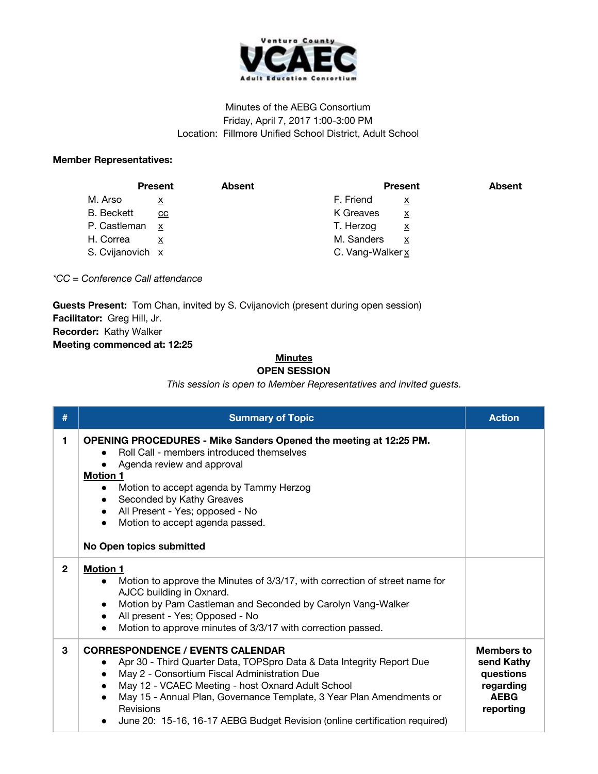

## Minutes of the AEBG Consortium Friday, April 7, 2017 1:00-3:00 PM Location: Fillmore Unified School District, Adult School

## **Member Representatives:**

|                   | <b>Present</b>          | <b>Absent</b> | <b>Present</b>                       | <b>Absent</b> |
|-------------------|-------------------------|---------------|--------------------------------------|---------------|
| M. Arso           | $\overline{\mathbf{x}}$ |               | F. Friend                            |               |
| <b>B.</b> Beckett | CC                      |               | K Greaves<br>х                       |               |
| P. Castleman      | X                       |               | T. Herzog<br>$\overline{\mathbf{x}}$ |               |
| H. Correa         |                         |               | M. Sanders<br>x                      |               |
| S. Cvijanovich x  |                         |               | C. Vang-Walker x                     |               |

*\*CC = Conference Call attendance*

**Guests Present:** Tom Chan, invited by S. Cvijanovich (present during open session) **Facilitator:** Greg Hill, Jr. **Recorder:** Kathy Walker **Meeting commenced at: 12:25**

## **Minutes OPEN SESSION**

*This session is open to Member Representatives and invited guests.*

| #            | <b>Summary of Topic</b>                                                                                                                                                                                                                                                                                                                                                                               | <b>Action</b>                                                                         |
|--------------|-------------------------------------------------------------------------------------------------------------------------------------------------------------------------------------------------------------------------------------------------------------------------------------------------------------------------------------------------------------------------------------------------------|---------------------------------------------------------------------------------------|
| 1.           | <b>OPENING PROCEDURES - Mike Sanders Opened the meeting at 12:25 PM.</b><br>Roll Call - members introduced themselves<br>Agenda review and approval<br><b>Motion 1</b><br>Motion to accept agenda by Tammy Herzog<br>$\bullet$<br>Seconded by Kathy Greaves<br>$\bullet$<br>All Present - Yes; opposed - No<br>$\bullet$<br>Motion to accept agenda passed.<br>No Open topics submitted               |                                                                                       |
| $\mathbf{2}$ | <b>Motion 1</b><br>Motion to approve the Minutes of 3/3/17, with correction of street name for<br>$\bullet$<br>AJCC building in Oxnard.<br>Motion by Pam Castleman and Seconded by Carolyn Vang-Walker<br>$\bullet$<br>All present - Yes; Opposed - No<br>$\bullet$<br>Motion to approve minutes of 3/3/17 with correction passed.                                                                    |                                                                                       |
| 3            | <b>CORRESPONDENCE / EVENTS CALENDAR</b><br>Apr 30 - Third Quarter Data, TOPSpro Data & Data Integrity Report Due<br>May 2 - Consortium Fiscal Administration Due<br>May 12 - VCAEC Meeting - host Oxnard Adult School<br>$\bullet$<br>May 15 - Annual Plan, Governance Template, 3 Year Plan Amendments or<br>Revisions<br>June 20: 15-16, 16-17 AEBG Budget Revision (online certification required) | <b>Members to</b><br>send Kathy<br>questions<br>regarding<br><b>AEBG</b><br>reporting |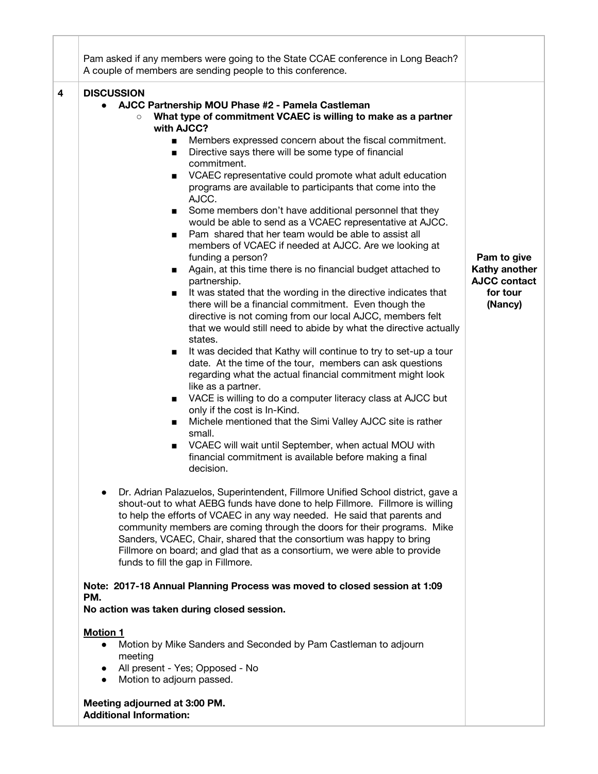| Pam asked if any members were going to the State CCAE conference in Long Beach?<br>A couple of members are sending people to this conference.                                                                                                                                                                                                                                                                                                                                                                                                                                                                                                                                                                                                                                                                                                                                                                                                                                                                                                                                                                                                                                                                                                                                                                                                                                                                                                                                                                                                                                                                                                                                                                                                                                                                                                                                                                                                                                                                                                                                                                                                                                                                                                                                                                                                                                                                                                                                                                                                                                                                                                     |                                                                            |
|---------------------------------------------------------------------------------------------------------------------------------------------------------------------------------------------------------------------------------------------------------------------------------------------------------------------------------------------------------------------------------------------------------------------------------------------------------------------------------------------------------------------------------------------------------------------------------------------------------------------------------------------------------------------------------------------------------------------------------------------------------------------------------------------------------------------------------------------------------------------------------------------------------------------------------------------------------------------------------------------------------------------------------------------------------------------------------------------------------------------------------------------------------------------------------------------------------------------------------------------------------------------------------------------------------------------------------------------------------------------------------------------------------------------------------------------------------------------------------------------------------------------------------------------------------------------------------------------------------------------------------------------------------------------------------------------------------------------------------------------------------------------------------------------------------------------------------------------------------------------------------------------------------------------------------------------------------------------------------------------------------------------------------------------------------------------------------------------------------------------------------------------------------------------------------------------------------------------------------------------------------------------------------------------------------------------------------------------------------------------------------------------------------------------------------------------------------------------------------------------------------------------------------------------------------------------------------------------------------------------------------------------------|----------------------------------------------------------------------------|
| <b>DISCUSSION</b><br>4<br>AJCC Partnership MOU Phase #2 - Pamela Castleman<br>What type of commitment VCAEC is willing to make as a partner<br>with AJCC?<br>Members expressed concern about the fiscal commitment.<br>$\blacksquare$<br>Directive says there will be some type of financial<br>$\blacksquare$<br>commitment.<br>VCAEC representative could promote what adult education<br>$\blacksquare$<br>programs are available to participants that come into the<br>AJCC.<br>Some members don't have additional personnel that they<br>$\blacksquare$<br>would be able to send as a VCAEC representative at AJCC.<br>Pam shared that her team would be able to assist all<br>$\blacksquare$<br>members of VCAEC if needed at AJCC. Are we looking at<br>funding a person?<br>Again, at this time there is no financial budget attached to<br>$\blacksquare$<br>partnership.<br>It was stated that the wording in the directive indicates that<br>$\blacksquare$<br>there will be a financial commitment. Even though the<br>directive is not coming from our local AJCC, members felt<br>that we would still need to abide by what the directive actually<br>states.<br>It was decided that Kathy will continue to try to set-up a tour<br>date. At the time of the tour, members can ask questions<br>regarding what the actual financial commitment might look<br>like as a partner.<br>VACE is willing to do a computer literacy class at AJCC but<br>$\blacksquare$<br>only if the cost is In-Kind.<br>Michele mentioned that the Simi Valley AJCC site is rather<br>small.<br>VCAEC will wait until September, when actual MOU with<br>$\blacksquare$<br>financial commitment is available before making a final<br>decision.<br>Dr. Adrian Palazuelos, Superintendent, Fillmore Unified School district, gave a<br>shout-out to what AEBG funds have done to help Fillmore. Fillmore is willing<br>to help the efforts of VCAEC in any way needed. He said that parents and<br>community members are coming through the doors for their programs. Mike<br>Sanders, VCAEC, Chair, shared that the consortium was happy to bring<br>Fillmore on board; and glad that as a consortium, we were able to provide<br>funds to fill the gap in Fillmore.<br>Note: 2017-18 Annual Planning Process was moved to closed session at 1:09<br>PM.<br>No action was taken during closed session.<br><b>Motion 1</b><br>Motion by Mike Sanders and Seconded by Pam Castleman to adjourn<br>$\bullet$<br>meeting<br>All present - Yes; Opposed - No<br>Motion to adjourn passed.<br>Meeting adjourned at 3:00 PM.<br><b>Additional Information:</b> | Pam to give<br>Kathy another<br><b>AJCC contact</b><br>for tour<br>(Nancy) |